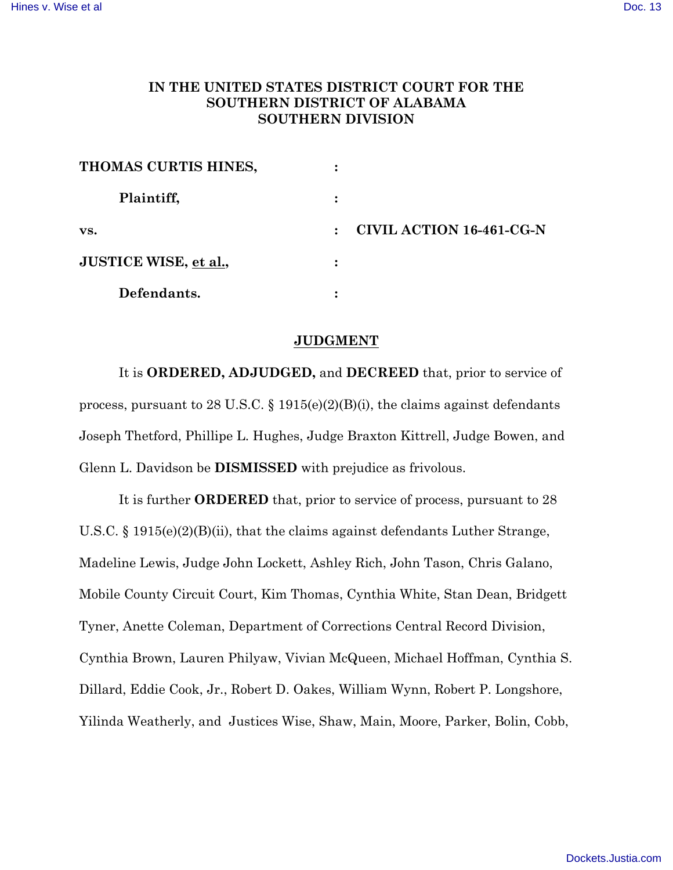## **IN THE UNITED STATES DISTRICT COURT FOR THE SOUTHERN DISTRICT OF ALABAMA SOUTHERN DIVISION**

| THOMAS CURTIS HINES,  | ٠                             |
|-----------------------|-------------------------------|
| Plaintiff,            |                               |
| VS.                   | CIVIL ACTION 16-461-CG-N<br>٠ |
| JUSTICE WISE, et al., |                               |
| Defendants.           |                               |

## **JUDGMENT**

It is **ORDERED, ADJUDGED,** and **DECREED** that, prior to service of process, pursuant to 28 U.S.C.  $\S$  1915(e)(2)(B)(i), the claims against defendants Joseph Thetford, Phillipe L. Hughes, Judge Braxton Kittrell, Judge Bowen, and Glenn L. Davidson be **DISMISSED** with prejudice as frivolous.

It is further **ORDERED** that, prior to service of process, pursuant to 28 U.S.C. § 1915(e)(2)(B)(ii), that the claims against defendants Luther Strange, Madeline Lewis, Judge John Lockett, Ashley Rich, John Tason, Chris Galano, Mobile County Circuit Court, Kim Thomas, Cynthia White, Stan Dean, Bridgett Tyner, Anette Coleman, Department of Corrections Central Record Division, Cynthia Brown, Lauren Philyaw, Vivian McQueen, Michael Hoffman, Cynthia S. Dillard, Eddie Cook, Jr., Robert D. Oakes, William Wynn, Robert P. Longshore, Yilinda Weatherly, and Justices Wise, Shaw, Main, Moore, Parker, Bolin, Cobb,